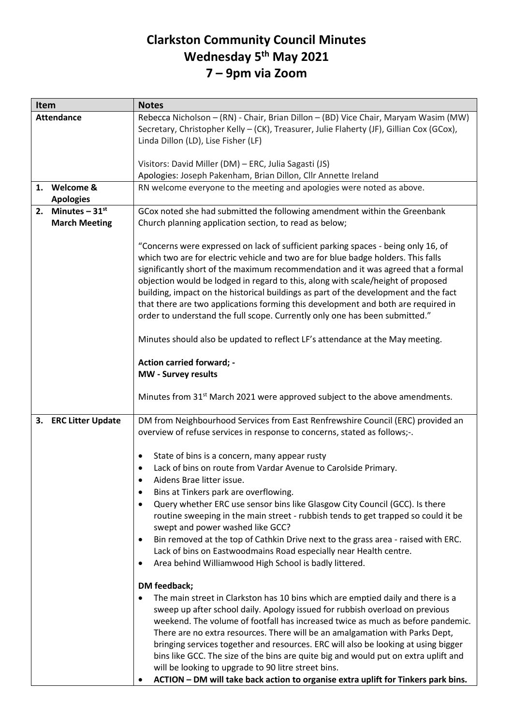## **Clarkston Community Council Minutes Wednesday 5 th May 2021 7 – 9pm via Zoom**

| Item                 | <b>Notes</b>                                                                                   |
|----------------------|------------------------------------------------------------------------------------------------|
| <b>Attendance</b>    | Rebecca Nicholson - (RN) - Chair, Brian Dillon - (BD) Vice Chair, Maryam Wasim (MW)            |
|                      | Secretary, Christopher Kelly - (CK), Treasurer, Julie Flaherty (JF), Gillian Cox (GCox),       |
|                      | Linda Dillon (LD), Lise Fisher (LF)                                                            |
|                      |                                                                                                |
|                      | Visitors: David Miller (DM) - ERC, Julia Sagasti (JS)                                          |
|                      | Apologies: Joseph Pakenham, Brian Dillon, Cllr Annette Ireland                                 |
| 1. Welcome &         | RN welcome everyone to the meeting and apologies were noted as above.                          |
| <b>Apologies</b>     |                                                                                                |
| 2. Minutes $-31st$   | GCox noted she had submitted the following amendment within the Greenbank                      |
| <b>March Meeting</b> | Church planning application section, to read as below;                                         |
|                      |                                                                                                |
|                      |                                                                                                |
|                      | "Concerns were expressed on lack of sufficient parking spaces - being only 16, of              |
|                      | which two are for electric vehicle and two are for blue badge holders. This falls              |
|                      | significantly short of the maximum recommendation and it was agreed that a formal              |
|                      | objection would be lodged in regard to this, along with scale/height of proposed               |
|                      | building, impact on the historical buildings as part of the development and the fact           |
|                      | that there are two applications forming this development and both are required in              |
|                      | order to understand the full scope. Currently only one has been submitted."                    |
|                      |                                                                                                |
|                      | Minutes should also be updated to reflect LF's attendance at the May meeting.                  |
|                      |                                                                                                |
|                      | <b>Action carried forward; -</b>                                                               |
|                      | MW - Survey results                                                                            |
|                      | Minutes from 31 <sup>st</sup> March 2021 were approved subject to the above amendments.        |
| 3. ERC Litter Update | DM from Neighbourhood Services from East Renfrewshire Council (ERC) provided an                |
|                      | overview of refuse services in response to concerns, stated as follows;-.                      |
|                      |                                                                                                |
|                      | State of bins is a concern, many appear rusty<br>٠                                             |
|                      | Lack of bins on route from Vardar Avenue to Carolside Primary.                                 |
|                      | Aidens Brae litter issue.                                                                      |
|                      | Bins at Tinkers park are overflowing.<br>$\bullet$                                             |
|                      | Query whether ERC use sensor bins like Glasgow City Council (GCC). Is there<br>$\bullet$       |
|                      | routine sweeping in the main street - rubbish tends to get trapped so could it be              |
|                      |                                                                                                |
|                      | swept and power washed like GCC?                                                               |
|                      | Bin removed at the top of Cathkin Drive next to the grass area - raised with ERC.<br>$\bullet$ |
|                      | Lack of bins on Eastwoodmains Road especially near Health centre.                              |
|                      | Area behind Williamwood High School is badly littered.<br>٠                                    |
|                      |                                                                                                |
|                      | DM feedback;                                                                                   |
|                      | The main street in Clarkston has 10 bins which are emptied daily and there is a                |
|                      | sweep up after school daily. Apology issued for rubbish overload on previous                   |
|                      | weekend. The volume of footfall has increased twice as much as before pandemic.                |
|                      | There are no extra resources. There will be an amalgamation with Parks Dept,                   |
|                      | bringing services together and resources. ERC will also be looking at using bigger             |
|                      | bins like GCC. The size of the bins are quite big and would put on extra uplift and            |
|                      | will be looking to upgrade to 90 litre street bins.                                            |
|                      | ACTION - DM will take back action to organise extra uplift for Tinkers park bins.              |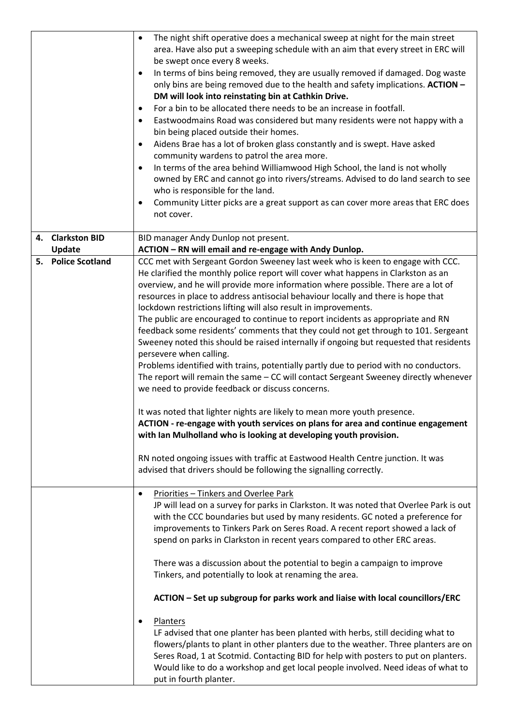|                    | The night shift operative does a mechanical sweep at night for the main street<br>area. Have also put a sweeping schedule with an aim that every street in ERC will<br>be swept once every 8 weeks.<br>In terms of bins being removed, they are usually removed if damaged. Dog waste<br>٠<br>only bins are being removed due to the health and safety implications. ACTION -<br>DM will look into reinstating bin at Cathkin Drive.<br>For a bin to be allocated there needs to be an increase in footfall.<br>$\bullet$<br>Eastwoodmains Road was considered but many residents were not happy with a<br>$\bullet$<br>bin being placed outside their homes.<br>Aidens Brae has a lot of broken glass constantly and is swept. Have asked<br>$\bullet$<br>community wardens to patrol the area more.<br>In terms of the area behind Williamwood High School, the land is not wholly<br>$\bullet$<br>owned by ERC and cannot go into rivers/streams. Advised to do land search to see<br>who is responsible for the land.<br>Community Litter picks are a great support as can cover more areas that ERC does<br>٠<br>not cover. |
|--------------------|----------------------------------------------------------------------------------------------------------------------------------------------------------------------------------------------------------------------------------------------------------------------------------------------------------------------------------------------------------------------------------------------------------------------------------------------------------------------------------------------------------------------------------------------------------------------------------------------------------------------------------------------------------------------------------------------------------------------------------------------------------------------------------------------------------------------------------------------------------------------------------------------------------------------------------------------------------------------------------------------------------------------------------------------------------------------------------------------------------------------------------|
| 4. Clarkston BID   | BID manager Andy Dunlop not present.                                                                                                                                                                                                                                                                                                                                                                                                                                                                                                                                                                                                                                                                                                                                                                                                                                                                                                                                                                                                                                                                                             |
| Update             | ACTION - RN will email and re-engage with Andy Dunlop.                                                                                                                                                                                                                                                                                                                                                                                                                                                                                                                                                                                                                                                                                                                                                                                                                                                                                                                                                                                                                                                                           |
| 5. Police Scotland | CCC met with Sergeant Gordon Sweeney last week who is keen to engage with CCC.                                                                                                                                                                                                                                                                                                                                                                                                                                                                                                                                                                                                                                                                                                                                                                                                                                                                                                                                                                                                                                                   |
|                    | He clarified the monthly police report will cover what happens in Clarkston as an                                                                                                                                                                                                                                                                                                                                                                                                                                                                                                                                                                                                                                                                                                                                                                                                                                                                                                                                                                                                                                                |
|                    | overview, and he will provide more information where possible. There are a lot of                                                                                                                                                                                                                                                                                                                                                                                                                                                                                                                                                                                                                                                                                                                                                                                                                                                                                                                                                                                                                                                |
|                    | resources in place to address antisocial behaviour locally and there is hope that                                                                                                                                                                                                                                                                                                                                                                                                                                                                                                                                                                                                                                                                                                                                                                                                                                                                                                                                                                                                                                                |
|                    | lockdown restrictions lifting will also result in improvements.                                                                                                                                                                                                                                                                                                                                                                                                                                                                                                                                                                                                                                                                                                                                                                                                                                                                                                                                                                                                                                                                  |
|                    | The public are encouraged to continue to report incidents as appropriate and RN                                                                                                                                                                                                                                                                                                                                                                                                                                                                                                                                                                                                                                                                                                                                                                                                                                                                                                                                                                                                                                                  |
|                    | feedback some residents' comments that they could not get through to 101. Sergeant                                                                                                                                                                                                                                                                                                                                                                                                                                                                                                                                                                                                                                                                                                                                                                                                                                                                                                                                                                                                                                               |
|                    | Sweeney noted this should be raised internally if ongoing but requested that residents                                                                                                                                                                                                                                                                                                                                                                                                                                                                                                                                                                                                                                                                                                                                                                                                                                                                                                                                                                                                                                           |
|                    | persevere when calling.                                                                                                                                                                                                                                                                                                                                                                                                                                                                                                                                                                                                                                                                                                                                                                                                                                                                                                                                                                                                                                                                                                          |
|                    | Problems identified with trains, potentially partly due to period with no conductors.                                                                                                                                                                                                                                                                                                                                                                                                                                                                                                                                                                                                                                                                                                                                                                                                                                                                                                                                                                                                                                            |
|                    | The report will remain the same - CC will contact Sergeant Sweeney directly whenever                                                                                                                                                                                                                                                                                                                                                                                                                                                                                                                                                                                                                                                                                                                                                                                                                                                                                                                                                                                                                                             |
|                    | we need to provide feedback or discuss concerns.                                                                                                                                                                                                                                                                                                                                                                                                                                                                                                                                                                                                                                                                                                                                                                                                                                                                                                                                                                                                                                                                                 |
|                    | It was noted that lighter nights are likely to mean more youth presence.                                                                                                                                                                                                                                                                                                                                                                                                                                                                                                                                                                                                                                                                                                                                                                                                                                                                                                                                                                                                                                                         |
|                    | ACTION - re-engage with youth services on plans for area and continue engagement                                                                                                                                                                                                                                                                                                                                                                                                                                                                                                                                                                                                                                                                                                                                                                                                                                                                                                                                                                                                                                                 |
|                    | with Ian Mulholland who is looking at developing youth provision.                                                                                                                                                                                                                                                                                                                                                                                                                                                                                                                                                                                                                                                                                                                                                                                                                                                                                                                                                                                                                                                                |
|                    | RN noted ongoing issues with traffic at Eastwood Health Centre junction. It was                                                                                                                                                                                                                                                                                                                                                                                                                                                                                                                                                                                                                                                                                                                                                                                                                                                                                                                                                                                                                                                  |
|                    | advised that drivers should be following the signalling correctly.                                                                                                                                                                                                                                                                                                                                                                                                                                                                                                                                                                                                                                                                                                                                                                                                                                                                                                                                                                                                                                                               |
|                    |                                                                                                                                                                                                                                                                                                                                                                                                                                                                                                                                                                                                                                                                                                                                                                                                                                                                                                                                                                                                                                                                                                                                  |
|                    | Priorities - Tinkers and Overlee Park<br>$\bullet$                                                                                                                                                                                                                                                                                                                                                                                                                                                                                                                                                                                                                                                                                                                                                                                                                                                                                                                                                                                                                                                                               |
|                    | JP will lead on a survey for parks in Clarkston. It was noted that Overlee Park is out                                                                                                                                                                                                                                                                                                                                                                                                                                                                                                                                                                                                                                                                                                                                                                                                                                                                                                                                                                                                                                           |
|                    | with the CCC boundaries but used by many residents. GC noted a preference for                                                                                                                                                                                                                                                                                                                                                                                                                                                                                                                                                                                                                                                                                                                                                                                                                                                                                                                                                                                                                                                    |
|                    | improvements to Tinkers Park on Seres Road. A recent report showed a lack of                                                                                                                                                                                                                                                                                                                                                                                                                                                                                                                                                                                                                                                                                                                                                                                                                                                                                                                                                                                                                                                     |
|                    | spend on parks in Clarkston in recent years compared to other ERC areas.                                                                                                                                                                                                                                                                                                                                                                                                                                                                                                                                                                                                                                                                                                                                                                                                                                                                                                                                                                                                                                                         |
|                    |                                                                                                                                                                                                                                                                                                                                                                                                                                                                                                                                                                                                                                                                                                                                                                                                                                                                                                                                                                                                                                                                                                                                  |
|                    | There was a discussion about the potential to begin a campaign to improve                                                                                                                                                                                                                                                                                                                                                                                                                                                                                                                                                                                                                                                                                                                                                                                                                                                                                                                                                                                                                                                        |
|                    | Tinkers, and potentially to look at renaming the area.                                                                                                                                                                                                                                                                                                                                                                                                                                                                                                                                                                                                                                                                                                                                                                                                                                                                                                                                                                                                                                                                           |
|                    | ACTION - Set up subgroup for parks work and liaise with local councillors/ERC                                                                                                                                                                                                                                                                                                                                                                                                                                                                                                                                                                                                                                                                                                                                                                                                                                                                                                                                                                                                                                                    |
|                    |                                                                                                                                                                                                                                                                                                                                                                                                                                                                                                                                                                                                                                                                                                                                                                                                                                                                                                                                                                                                                                                                                                                                  |
|                    | Planters<br>LF advised that one planter has been planted with herbs, still deciding what to                                                                                                                                                                                                                                                                                                                                                                                                                                                                                                                                                                                                                                                                                                                                                                                                                                                                                                                                                                                                                                      |
|                    | flowers/plants to plant in other planters due to the weather. Three planters are on                                                                                                                                                                                                                                                                                                                                                                                                                                                                                                                                                                                                                                                                                                                                                                                                                                                                                                                                                                                                                                              |
|                    | Seres Road, 1 at Scotmid. Contacting BID for help with posters to put on planters.                                                                                                                                                                                                                                                                                                                                                                                                                                                                                                                                                                                                                                                                                                                                                                                                                                                                                                                                                                                                                                               |
|                    | Would like to do a workshop and get local people involved. Need ideas of what to                                                                                                                                                                                                                                                                                                                                                                                                                                                                                                                                                                                                                                                                                                                                                                                                                                                                                                                                                                                                                                                 |
|                    | put in fourth planter.                                                                                                                                                                                                                                                                                                                                                                                                                                                                                                                                                                                                                                                                                                                                                                                                                                                                                                                                                                                                                                                                                                           |
|                    |                                                                                                                                                                                                                                                                                                                                                                                                                                                                                                                                                                                                                                                                                                                                                                                                                                                                                                                                                                                                                                                                                                                                  |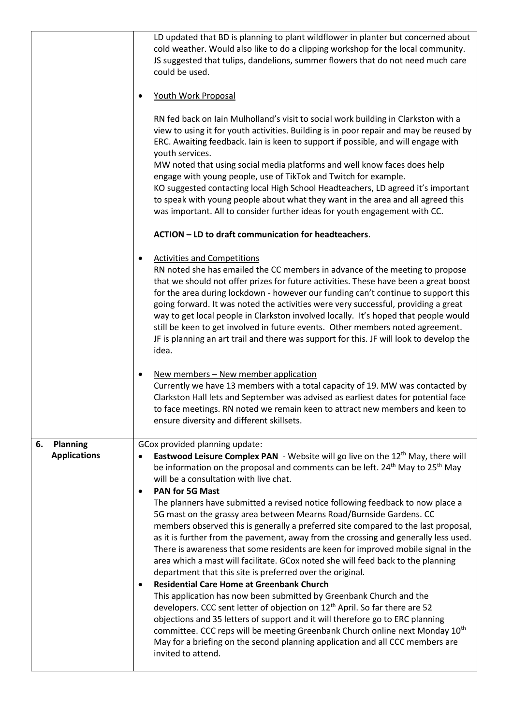|                                              | LD updated that BD is planning to plant wildflower in planter but concerned about<br>cold weather. Would also like to do a clipping workshop for the local community.<br>JS suggested that tulips, dandelions, summer flowers that do not need much care<br>could be used.<br>Youth Work Proposal<br>RN fed back on Iain Mulholland's visit to social work building in Clarkston with a<br>view to using it for youth activities. Building is in poor repair and may be reused by<br>ERC. Awaiting feedback. Iain is keen to support if possible, and will engage with<br>youth services.<br>MW noted that using social media platforms and well know faces does help<br>engage with young people, use of TikTok and Twitch for example.<br>KO suggested contacting local High School Headteachers, LD agreed it's important<br>to speak with young people about what they want in the area and all agreed this<br>was important. All to consider further ideas for youth engagement with CC.<br>ACTION - LD to draft communication for headteachers.<br><b>Activities and Competitions</b><br>٠<br>RN noted she has emailed the CC members in advance of the meeting to propose<br>that we should not offer prizes for future activities. These have been a great boost<br>for the area during lockdown - however our funding can't continue to support this<br>going forward. It was noted the activities were very successful, providing a great<br>way to get local people in Clarkston involved locally. It's hoped that people would<br>still be keen to get involved in future events. Other members noted agreement. |
|----------------------------------------------|------------------------------------------------------------------------------------------------------------------------------------------------------------------------------------------------------------------------------------------------------------------------------------------------------------------------------------------------------------------------------------------------------------------------------------------------------------------------------------------------------------------------------------------------------------------------------------------------------------------------------------------------------------------------------------------------------------------------------------------------------------------------------------------------------------------------------------------------------------------------------------------------------------------------------------------------------------------------------------------------------------------------------------------------------------------------------------------------------------------------------------------------------------------------------------------------------------------------------------------------------------------------------------------------------------------------------------------------------------------------------------------------------------------------------------------------------------------------------------------------------------------------------------------------------------------------------------------------------------------------------|
|                                              | JF is planning an art trail and there was support for this. JF will look to develop the<br>idea.<br>New members - New member application<br>٠<br>Currently we have 13 members with a total capacity of 19. MW was contacted by<br>Clarkston Hall lets and September was advised as earliest dates for potential face<br>to face meetings. RN noted we remain keen to attract new members and keen to<br>ensure diversity and different skillsets.                                                                                                                                                                                                                                                                                                                                                                                                                                                                                                                                                                                                                                                                                                                                                                                                                                                                                                                                                                                                                                                                                                                                                                            |
| <b>Planning</b><br>6.<br><b>Applications</b> | GCox provided planning update:<br>Eastwood Leisure Complex PAN - Website will go live on the 12 <sup>th</sup> May, there will<br>be information on the proposal and comments can be left. 24 <sup>th</sup> May to 25 <sup>th</sup> May<br>will be a consultation with live chat.<br><b>PAN for 5G Mast</b><br>$\bullet$<br>The planners have submitted a revised notice following feedback to now place a<br>5G mast on the grassy area between Mearns Road/Burnside Gardens. CC<br>members observed this is generally a preferred site compared to the last proposal,<br>as it is further from the pavement, away from the crossing and generally less used.<br>There is awareness that some residents are keen for improved mobile signal in the<br>area which a mast will facilitate. GCox noted she will feed back to the planning<br>department that this site is preferred over the original.<br><b>Residential Care Home at Greenbank Church</b><br>This application has now been submitted by Greenbank Church and the<br>developers. CCC sent letter of objection on 12 <sup>th</sup> April. So far there are 52<br>objections and 35 letters of support and it will therefore go to ERC planning<br>committee. CCC reps will be meeting Greenbank Church online next Monday 10 <sup>th</sup><br>May for a briefing on the second planning application and all CCC members are<br>invited to attend.                                                                                                                                                                                                                |